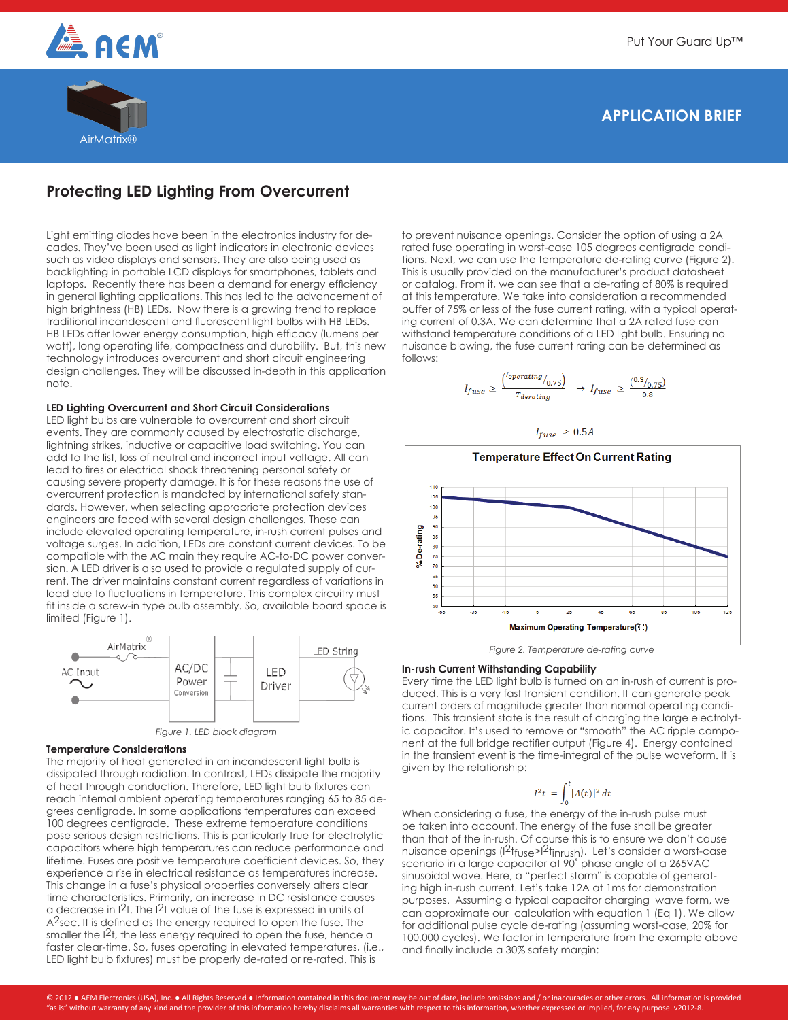

# **APPLICATION BRIEF**



## **Protecting LED Lighting From Overcurrent**

Light emitting diodes have been in the electronics industry for decades. They've been used as light indicators in electronic devices such as video displays and sensors. They are also being used as backlighting in portable LCD displays for smartphones, tablets and laptops. Recently there has been a demand for energy efficiency in general lighting applications. This has led to the advancement of high brightness (HB) LEDs. Now there is a growing trend to replace traditional incandescent and fluorescent light bulbs with HB LEDs. HB LEDs offer lower energy consumption, high efficacy (lumens per watt), long operating life, compactness and durability. But, this new technology introduces overcurrent and short circuit engineering design challenges. They will be discussed in-depth in this application note.

## **LED Lighting Overcurrent and Short Circuit Considerations**

LED light bulbs are vulnerable to overcurrent and short circuit events. They are commonly caused by electrostatic discharge, lightning strikes, inductive or capacitive load switching. You can add to the list, loss of neutral and incorrect input voltage. All can lead to fires or electrical shock threatening personal safety or causing severe property damage. It is for these reasons the use of overcurrent protection is mandated by international safety standards. However, when selecting appropriate protection devices engineers are faced with several design challenges. These can include elevated operating temperature, in-rush current pulses and voltage surges. In addition, LEDs are constant current devices. To be compatible with the AC main they require AC-to-DC power conversion. A LED driver is also used to provide a regulated supply of current. The driver maintains constant current regardless of variations in load due to fluctuations in temperature. This complex circuitry must fit inside a screw-in type bulb assembly. So, available board space is limited (Figure 1).





#### **Temperature Considerations**

The majority of heat generated in an incandescent light bulb is dissipated through radiation. In contrast, LEDs dissipate the majority of heat through conduction. Therefore, LED light bulb fixtures can reach internal ambient operating temperatures ranging 65 to 85 degrees centigrade. In some applications temperatures can exceed 100 degrees centigrade. These extreme temperature conditions pose serious design restrictions. This is particularly true for electrolytic capacitors where high temperatures can reduce performance and lifetime. Fuses are positive temperature coefficient devices. So, they experience a rise in electrical resistance as temperatures increase. This change in a fuse's physical properties conversely alters clear time characteristics. Primarily, an increase in DC resistance causes a decrease in I2t. The I2t value of the fuse is expressed in units of A<sup>2</sup>sec. It is defined as the energy required to open the fuse. The smaller the  $12t$ , the less energy required to open the fuse, hence a faster clear-time. So, fuses operating in elevated temperatures, (i.e., LED light bulb fixtures) must be properly de-rated or re-rated. This is

to prevent nuisance openings. Consider the option of using a 2A rated fuse operating in worst-case 105 degrees centigrade conditions. Next, we can use the temperature de-rating curve (Figure 2). This is usually provided on the manufacturer's product datasheet or catalog. From it, we can see that a de-rating of 80% is required at this temperature. We take into consideration a recommended buffer of 75% or less of the fuse current rating, with a typical operating current of 0.3A. We can determine that a 2A rated fuse can withstand temperature conditions of a LED light bulb. Ensuring no nuisance blowing, the fuse current rating can be determined as follows:

$$
I_{fuse} \geq \frac{{I_{operating}}_{0.75}}{{I_{derating}}}\rightarrow I_{fuse} \geq \frac{{0.3}_{0.75}}{{0.8}}
$$





*Figure 2. Temperature de-rating curve*

## **In-rush Current Withstanding Capability**

Every time the LED light bulb is turned on an in-rush of current is produced. This is a very fast transient condition. It can generate peak current orders of magnitude greater than normal operating conditions. This transient state is the result of charging the large electrolytic capacitor. It's used to remove or "smooth" the AC ripple component at the full bridge rectifier output (Figure 4). Energy contained in the transient event is the time-integral of the pulse waveform. It is given by the relationship:

$$
I^2t = \int_0^t [A(t)]^2 dt
$$

When considering a fuse, the energy of the in-rush pulse must be taken into account. The energy of the fuse shall be greater than that of the in-rush. Of course this is to ensure we don't cause nuisance openings (I<sup>2</sup>t<sub>fuse</sub>>I<sup>2</sup>t<sub>inrush</sub>). Let's consider a worst-case scenario in a large capacitor at 90˚ phase angle of a 265VAC sinusoidal wave. Here, a "perfect storm" is capable of generating high in-rush current. Let's take 12A at 1ms for demonstration purposes. Assuming a typical capacitor charging wave form, we can approximate our calculation with equation 1 (Eq 1). We allow for additional pulse cycle de-rating (assuming worst-case, 20% for 100,000 cycles). We factor in temperature from the example above and finally include a 30% safety margin: